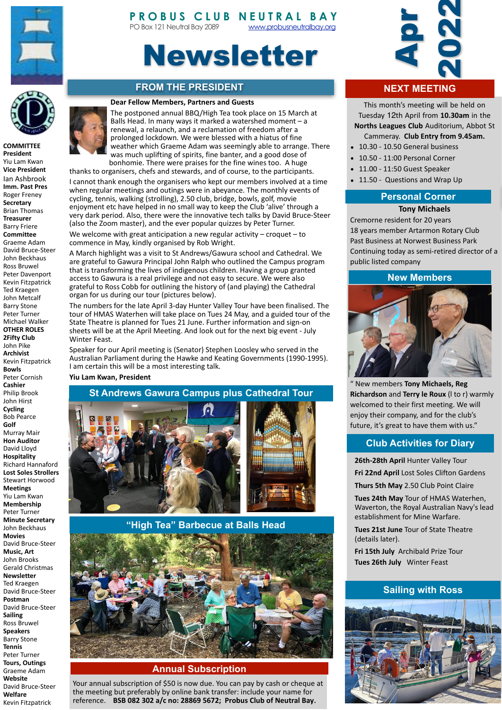

# **PROBUS CLUB N[EUTRAL BAY](http://www.probusneutralbay.org)** PO Box 121 Neutral Bay 2089 www.probusneutralbay.org

# Newsletter

# **FROM THE PRESIDENT**

#### **Dear Fellow Members, Partners and Guests**



**COMMITTEE President** Yiu Lam Kwan **Vice President** Ian Ashbrook **Imm. Past Pres** Roger Freney **Secretary** Brian Thomas **Treasurer** Barry Friere **Committee** Graeme Adam David Bruce-Steer John Beckhaus Ross Bruwel Peter Davenport Kevin Fitzpatrick Ted Kraegen John Metcalf **Barry Stone** Peter Turner Michael Walker **OTHER ROLES 2Fifty Club** John Pike **Archivist** Kevin Fitzpatrick **Bowls** Peter Cornish **Cashier** Philip Brook John Hirst **Cycling** Bob Pearce **Golf** Murray Mair **Hon Auditor** David Lloyd **Hospitality** Richard Hannaford **Lost Soles Strollers** Stewart Horwood **Meetings** Yiu Lam Kwan **Membership** Peter Turner **Minute Secretary** John Beckhaus **Movies** David Bruce-Steer **Music, Art** John Brooks Gerald Christmas **Newsletter** Ted Kraegen David Bruce-Steer **Postman** David Bruce-Steer **Sailing** Ross Bruwel **Speakers Barry Stone Tennis** Peter Turner **Tours, Outings** Graeme Adam **Website** David Bruce-Steer **Welfare** 

Kevin Fitzpatrick 



The postponed annual BBQ/High Tea took place on 15 March at Balls Head. In many ways it marked a watershed moment  $-$  a renewal, a relaunch, and a reclamation of freedom after a prolonged lockdown. We were blessed with a hiatus of fine weather which Graeme Adam was seemingly able to arrange. There was much uplifting of spirits, fine banter, and a good dose of bonhomie. There were praises for the fine wines too. A huge thanks to organisers, chefs and stewards, and of course, to the participants.

I cannot thank enough the organisers who kept our members involved at a time when regular meetings and outings were in abeyance. The monthly events of cycling, tennis, walking (strolling), 2.50 club, bridge, bowls, golf, movie enjoyment etc have helped in no small way to keep the Club 'alive' through a very dark period. Also, there were the innovative tech talks by David Bruce-Steer (also the Zoom master), and the ever popular quizzes by Peter Turner.

We welcome with great anticipation a new regular activity – croquet – to commence in May, kindly organised by Rob Wright.

A March highlight was a visit to St Andrews/Gawura school and Cathedral. We are grateful to Gawura Principal John Ralph who outlined the Campus program that is transforming the lives of indigenous children. Having a group granted access to Gawura is a real privilege and not easy to secure. We were also grateful to Ross Cobb for outlining the history of (and playing) the Cathedral organ for us during our tour (pictures below).

The numbers for the late April 3-day Hunter Valley Tour have been finalised. The tour of HMAS Waterhen will take place on Tues 24 May, and a guided tour of the State Theatre is planned for Tues 21 June. Further information and sign-on sheets will be at the April Meeting. And look out for the next big event - July Winter Feast.

Speaker for our April meeting is (Senator) Stephen Loosley who served in the Australian Parliament during the Hawke and Keating Governments (1990-1995). I am certain this will be a most interesting talk.

#### **Yiu Lam Kwan, President**



 **"High Tea" Barbecue at Balls Head**



### **Annual Subscription**

Your annual subscription of \$50 is now due. You can pay by cash or cheque at the meeting but preferably by online bank transfer: include your name for reference. BSB 082 302 a/c no: 28869 5672; Probus Club of Neutral Bay.



# **NEXT MEETING**

This month's meeting will be held on Tuesday 12th April from **10.30am** in the **Norths Leagues Club** Auditorium, Abbot St

- Cammeray. Club Entry from 9.45am. 10.30 - 10.50 General business
- 10.50 11:00 Personal Corner
- 11.00 - 11:50 Guest Speaker
- 11.50 Questions and Wrap Up

#### **Personal Corner**

#### **Tony Michaels**

Cremorne resident for 20 years 18 years member Artarmon Rotary Club Past Business at Norwest Business Park Continuing today as semi-retired director of a public listed company

#### **New Members**



" New members **Tony Michaels, Reg Richardson** and **Terry le Roux** (I to r) warmly welcomed to their first meeting. We will enjoy their company, and for the club's

### **Club Activities for Diary**

**26th-28th April Hunter Valley Tour** 

**Fri 22nd April** Lost Soles Clifton Gardens

Thurs 5th May 2.50 Club Point Claire

**Tues 24th May** Tour of HMAS Waterhen, Waverton, the Royal Australian Navy's lead establishment for Mine Warfare.

**Tues 21st June Tour of State Theatre** (details later).

**Fri 15th July** Archibald Prize Tour **Tues 26th July** Winter Feast

### **Sailing with Ross**